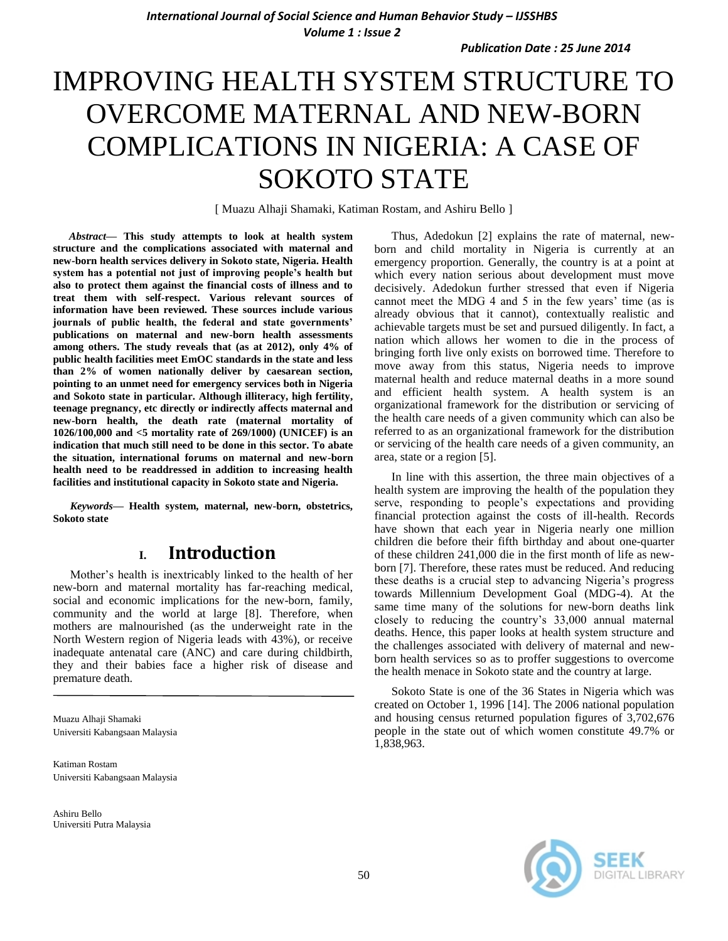*Publication Date : 25 June 2014*

# IMPROVING HEALTH SYSTEM STRUCTURE TO OVERCOME MATERNAL AND NEW-BORN COMPLICATIONS IN NIGERIA: A CASE OF SOKOTO STATE

[ Muazu Alhaji Shamaki, Katiman Rostam, and Ashiru Bello ]

*Abstract***— This study attempts to look at health system structure and the complications associated with maternal and new-born health services delivery in Sokoto state, Nigeria. Health system has a potential not just of improving people's health but also to protect them against the financial costs of illness and to treat them with self-respect. Various relevant sources of information have been reviewed. These sources include various journals of public health, the federal and state governments' publications on maternal and new-born health assessments among others. The study reveals that (as at 2012), only 4% of public health facilities meet EmOC standards in the state and less than 2% of women nationally deliver by caesarean section, pointing to an unmet need for emergency services both in Nigeria and Sokoto state in particular. Although illiteracy, high fertility, teenage pregnancy, etc directly or indirectly affects maternal and new-born health, the death rate (maternal mortality of 1026/100,000 and <5 mortality rate of 269/1000) (UNICEF) is an indication that much still need to be done in this sector. To abate the situation, international forums on maternal and new-born health need to be readdressed in addition to increasing health facilities and institutional capacity in Sokoto state and Nigeria.**

*Keywords—* **Health system, maternal, new-born, obstetrics, Sokoto state**

### **I. Introduction**

Mother's health is inextricably linked to the health of her new-born and maternal mortality has far-reaching medical, social and economic implications for the new-born, family, community and the world at large [8]. Therefore, when mothers are malnourished (as the underweight rate in the North Western region of Nigeria leads with 43%), or receive inadequate antenatal care (ANC) and care during childbirth, they and their babies face a higher risk of disease and premature death.

Muazu Alhaji Shamaki Universiti Kabangsaan Malaysia

Katiman Rostam Universiti Kabangsaan Malaysia

Ashiru Bello Universiti Putra Malaysia

Thus, Adedokun [2] explains the rate of maternal, newborn and child mortality in Nigeria is currently at an emergency proportion. Generally, the country is at a point at which every nation serious about development must move decisively. Adedokun further stressed that even if Nigeria cannot meet the MDG 4 and 5 in the few years' time (as is already obvious that it cannot), contextually realistic and achievable targets must be set and pursued diligently. In fact, a nation which allows her women to die in the process of bringing forth live only exists on borrowed time. Therefore to move away from this status, Nigeria needs to improve maternal health and reduce maternal deaths in a more sound and efficient health system. A health system is an organizational framework for the distribution or servicing of the health care needs of a given community which can also be referred to as an organizational framework for the distribution or servicing of the health care needs of a given community, an area, state or a region [5].

In line with this assertion, the three main objectives of a health system are improving the health of the population they serve, responding to people's expectations and providing financial protection against the costs of ill-health. Records have shown that each year in Nigeria nearly one million children die before their fifth birthday and about one-quarter of these children 241,000 die in the first month of life as newborn [7]. Therefore, these rates must be reduced. And reducing these deaths is a crucial step to advancing Nigeria's progress towards Millennium Development Goal (MDG-4). At the same time many of the solutions for new-born deaths link closely to reducing the country's 33,000 annual maternal deaths. Hence, this paper looks at health system structure and the challenges associated with delivery of maternal and newborn health services so as to proffer suggestions to overcome the health menace in Sokoto state and the country at large.

Sokoto State is one of the 36 States in Nigeria which was created on October 1, 1996 [14]. The 2006 national population and housing census returned population figures of 3,702,676 people in the state out of which women constitute 49.7% or 1,838,963.

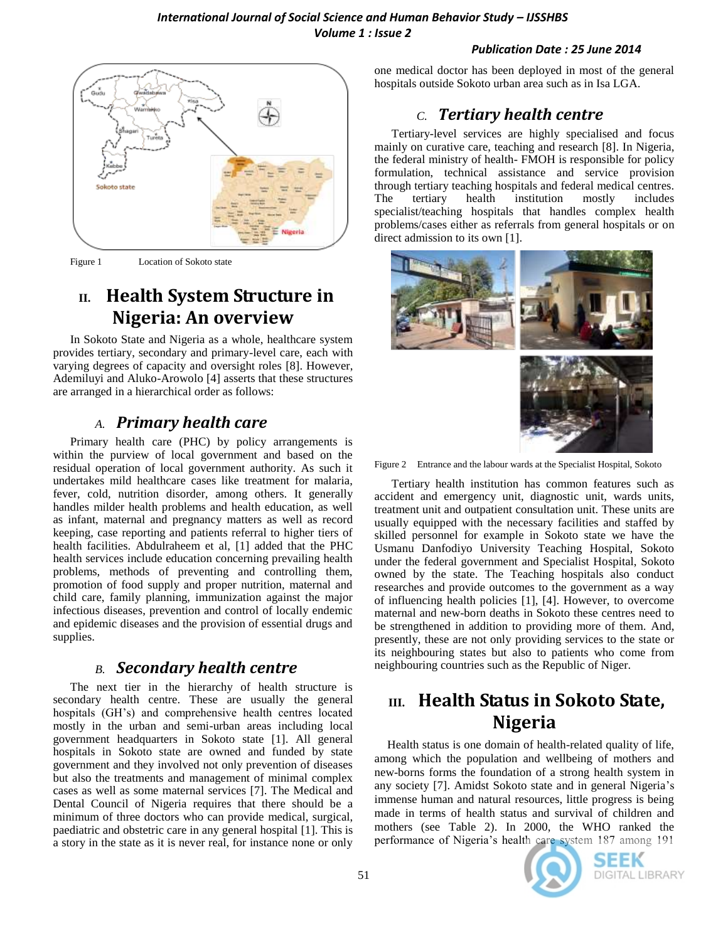### *Publication Date : 25 June 2014*



Figure 1 Location of Sokoto state

# **II. Health System Structure in Nigeria: An overview**

In Sokoto State and Nigeria as a whole, healthcare system provides tertiary, secondary and primary-level care, each with varying degrees of capacity and oversight roles [8]. However, Ademiluyi and Aluko-Arowolo [4] asserts that these structures are arranged in a hierarchical order as follows:

# *A. Primary health care*

Primary health care (PHC) by policy arrangements is within the purview of local government and based on the residual operation of local government authority. As such it undertakes mild healthcare cases like treatment for malaria, fever, cold, nutrition disorder, among others. It generally handles milder health problems and health education, as well as infant, maternal and pregnancy matters as well as record keeping, case reporting and patients referral to higher tiers of health facilities. Abdulraheem et al, [1] added that the PHC health services include education concerning prevailing health problems, methods of preventing and controlling them, promotion of food supply and proper nutrition, maternal and child care, family planning, immunization against the major infectious diseases, prevention and control of locally endemic and epidemic diseases and the provision of essential drugs and supplies.

## *B. Secondary health centre*

The next tier in the hierarchy of health structure is secondary health centre. These are usually the general hospitals (GH's) and comprehensive health centres located mostly in the urban and semi-urban areas including local government headquarters in Sokoto state [1]. All general hospitals in Sokoto state are owned and funded by state government and they involved not only prevention of diseases but also the treatments and management of minimal complex cases as well as some maternal services [7]. The Medical and Dental Council of Nigeria requires that there should be a minimum of three doctors who can provide medical, surgical, paediatric and obstetric care in any general hospital [1]. This is a story in the state as it is never real, for instance none or only

one medical doctor has been deployed in most of the general hospitals outside Sokoto urban area such as in Isa LGA.

# *C. Tertiary health centre*

Tertiary-level services are highly specialised and focus mainly on curative care, teaching and research [8]. In Nigeria, the federal ministry of health- FMOH is responsible for policy formulation, technical assistance and service provision through tertiary teaching hospitals and federal medical centres. The tertiary health institution mostly includes specialist/teaching hospitals that handles complex health problems/cases either as referrals from general hospitals or on direct admission to its own [1].



Figure 2 Entrance and the labour wards at the Specialist Hospital, Sokoto

Tertiary health institution has common features such as accident and emergency unit, diagnostic unit, wards units, treatment unit and outpatient consultation unit. These units are usually equipped with the necessary facilities and staffed by skilled personnel for example in Sokoto state we have the Usmanu Danfodiyo University Teaching Hospital, Sokoto under the federal government and Specialist Hospital, Sokoto owned by the state. The Teaching hospitals also conduct researches and provide outcomes to the government as a way of influencing health policies [1], [4]. However, to overcome maternal and new-born deaths in Sokoto these centres need to be strengthened in addition to providing more of them. And, presently, these are not only providing services to the state or its neighbouring states but also to patients who come from neighbouring countries such as the Republic of Niger.

# **III. Health Status in Sokoto State, Nigeria**

Health status is one domain of health-related quality of life, among which the population and wellbeing of mothers and new-borns forms the foundation of a strong health system in any society [7]. Amidst Sokoto state and in general Nigeria's immense human and natural resources, little progress is being made in terms of health status and survival of children and mothers (see Table 2). In 2000, the WHO ranked the performance of Nigeria's health care system 187 among 191



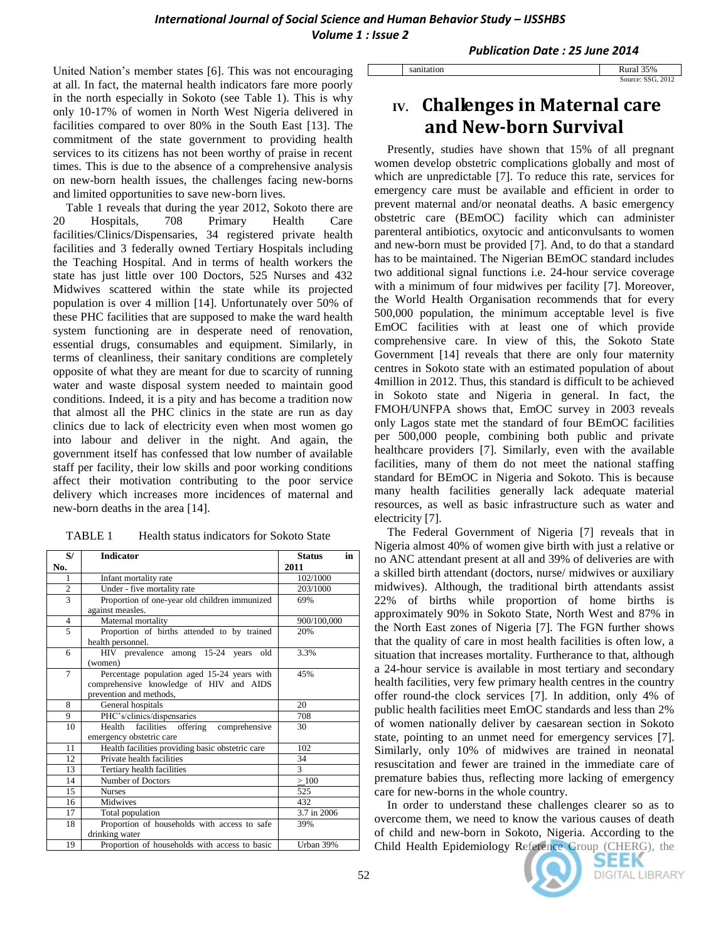sanitation

*Publication Date : 25 June 2014*

United Nation's member states [6]. This was not encouraging at all. In fact, the maternal health indicators fare more poorly in the north especially in Sokoto (see Table 1). This is why only 10-17% of women in North West Nigeria delivered in facilities compared to over 80% in the South East [13]. The commitment of the state government to providing health services to its citizens has not been worthy of praise in recent times. This is due to the absence of a comprehensive analysis on new-born health issues, the challenges facing new-borns and limited opportunities to save new-born lives.

Table 1 reveals that during the year 2012, Sokoto there are 20 Hospitals, 708 Primary Health Care facilities/Clinics/Dispensaries, 34 registered private health facilities and 3 federally owned Tertiary Hospitals including the Teaching Hospital. And in terms of health workers the state has just little over 100 Doctors, 525 Nurses and 432 Midwives scattered within the state while its projected population is over 4 million [14]. Unfortunately over 50% of these PHC facilities that are supposed to make the ward health system functioning are in desperate need of renovation, essential drugs, consumables and equipment. Similarly, in terms of cleanliness, their sanitary conditions are completely opposite of what they are meant for due to scarcity of running water and waste disposal system needed to maintain good conditions. Indeed, it is a pity and has become a tradition now that almost all the PHC clinics in the state are run as day clinics due to lack of electricity even when most women go into labour and deliver in the night. And again, the government itself has confessed that low number of available staff per facility, their low skills and poor working conditions affect their motivation contributing to the poor service delivery which increases more incidences of maternal and new-born deaths in the area [14].

TABLE 1 Health status indicators for Sokoto State

| S/             | <b>Indicator</b>                                                                                                  | in<br><b>Status</b> |
|----------------|-------------------------------------------------------------------------------------------------------------------|---------------------|
| No.            |                                                                                                                   | 2011                |
| 1              | Infant mortality rate                                                                                             | 102/1000            |
| $\overline{2}$ | Under - five mortality rate                                                                                       | 203/1000            |
| $\overline{3}$ | Proportion of one-year old children immunized<br>against measles.                                                 | 69%                 |
| 4              | Maternal mortality                                                                                                | 900/100,000         |
| 5              | Proportion of births attended to by trained<br>health personnel.                                                  | 20%                 |
| 6              | HIV prevalence among 15-24 years old<br>(women)                                                                   | 3.3%                |
| $\overline{7}$ | Percentage population aged 15-24 years with<br>comprehensive knowledge of HIV and AIDS<br>prevention and methods, | 45%                 |
| 8              | General hospitals                                                                                                 | 20                  |
| 9              | PHC's/clinics/dispensaries                                                                                        | 708                 |
| 10             | facilities offering<br>Health<br>comprehensive<br>emergency obstetric care                                        | 30                  |
| 11             | Health facilities providing basic obstetric care                                                                  | 102                 |
| 12             | Private health facilities                                                                                         | 34                  |
| 13             | Tertiary health facilities                                                                                        | 3                   |
| 14             | Number of Doctors                                                                                                 | $\geq$ 100          |
| 15             | <b>Nurses</b>                                                                                                     | 525                 |
| 16             | Midwives                                                                                                          | 432                 |
| 17             | Total population                                                                                                  | 3.7 in 2006         |
| 18             | Proportion of households with access to safe                                                                      | 39%                 |
|                | drinking water                                                                                                    |                     |
| 19             | Proportion of households with access to basic                                                                     | Urban 39%           |

| Rural 35%         |  |
|-------------------|--|
| Source: SSG, 2012 |  |

# **IV. Challenges in Maternal care and New-born Survival**

Presently, studies have shown that 15% of all pregnant women develop obstetric complications globally and most of which are unpredictable [7]. To reduce this rate, services for emergency care must be available and efficient in order to prevent maternal and/or neonatal deaths. A basic emergency obstetric care (BEmOC) facility which can administer parenteral antibiotics, oxytocic and anticonvulsants to women and new-born must be provided [7]. And, to do that a standard has to be maintained. The Nigerian BEmOC standard includes two additional signal functions i.e. 24-hour service coverage with a minimum of four midwives per facility [7]. Moreover, the World Health Organisation recommends that for every 500,000 population, the minimum acceptable level is five EmOC facilities with at least one of which provide comprehensive care. In view of this, the Sokoto State Government [14] reveals that there are only four maternity centres in Sokoto state with an estimated population of about 4million in 2012. Thus, this standard is difficult to be achieved in Sokoto state and Nigeria in general. In fact, the FMOH/UNFPA shows that, EmOC survey in 2003 reveals only Lagos state met the standard of four BEmOC facilities per 500,000 people, combining both public and private healthcare providers [7]. Similarly, even with the available facilities, many of them do not meet the national staffing standard for BEmOC in Nigeria and Sokoto. This is because many health facilities generally lack adequate material resources, as well as basic infrastructure such as water and electricity [7].

The Federal Government of Nigeria [7] reveals that in Nigeria almost 40% of women give birth with just a relative or no ANC attendant present at all and 39% of deliveries are with a skilled birth attendant (doctors, nurse/ midwives or auxiliary midwives). Although, the traditional birth attendants assist 22% of births while proportion of home births is approximately 90% in Sokoto State, North West and 87% in the North East zones of Nigeria [7]. The FGN further shows that the quality of care in most health facilities is often low, a situation that increases mortality. Furtherance to that, although a 24-hour service is available in most tertiary and secondary health facilities, very few primary health centres in the country offer round-the clock services [7]. In addition, only 4% of public health facilities meet EmOC standards and less than 2% of women nationally deliver by caesarean section in Sokoto state, pointing to an unmet need for emergency services [7]. Similarly, only 10% of midwives are trained in neonatal resuscitation and fewer are trained in the immediate care of premature babies thus, reflecting more lacking of emergency care for new-borns in the whole country.

In order to understand these challenges clearer so as to overcome them, we need to know the various causes of death of child and new-born in Sokoto, Nigeria. According to the Child Health Epidemiology Reference Group (CHERG), the

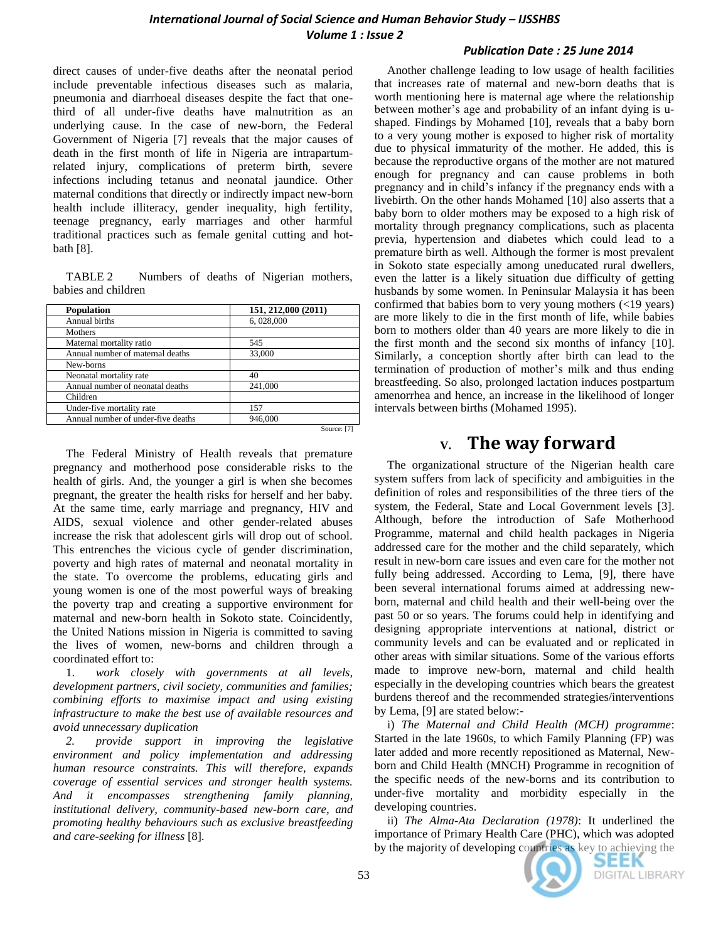direct causes of under-five deaths after the neonatal period include preventable infectious diseases such as malaria, pneumonia and diarrhoeal diseases despite the fact that onethird of all under-five deaths have malnutrition as an underlying cause. In the case of new-born, the Federal Government of Nigeria [7] reveals that the major causes of death in the first month of life in Nigeria are intrapartumrelated injury, complications of preterm birth, severe infections including tetanus and neonatal jaundice. Other maternal conditions that directly or indirectly impact new-born health include illiteracy, gender inequality, high fertility, teenage pregnancy, early marriages and other harmful traditional practices such as female genital cutting and hotbath [8].

TABLE 2 Numbers of deaths of Nigerian mothers, babies and children

| Population                         | 151, 212,000 (2011) |
|------------------------------------|---------------------|
| Annual births                      | 6,028,000           |
| Mothers                            |                     |
| Maternal mortality ratio           | 545                 |
| Annual number of maternal deaths   | 33,000              |
| New-borns                          |                     |
| Neonatal mortality rate            | 40                  |
| Annual number of neonatal deaths   | 241,000             |
| Children                           |                     |
| Under-five mortality rate          | 157                 |
| Annual number of under-five deaths | 946,000             |
|                                    | Source: [7]         |

The Federal Ministry of Health reveals that premature pregnancy and motherhood pose considerable risks to the health of girls. And, the younger a girl is when she becomes pregnant, the greater the health risks for herself and her baby. At the same time, early marriage and pregnancy, HIV and AIDS, sexual violence and other gender-related abuses increase the risk that adolescent girls will drop out of school. This entrenches the vicious cycle of gender discrimination, poverty and high rates of maternal and neonatal mortality in the state. To overcome the problems, educating girls and young women is one of the most powerful ways of breaking the poverty trap and creating a supportive environment for maternal and new-born health in Sokoto state. Coincidently, the United Nations mission in Nigeria is committed to saving the lives of women, new-borns and children through a coordinated effort to:

1. *work closely with governments at all levels, development partners, civil society, communities and families; combining efforts to maximise impact and using existing infrastructure to make the best use of available resources and avoid unnecessary duplication* 

*2. provide support in improving the legislative environment and policy implementation and addressing human resource constraints. This will therefore, expands coverage of essential services and stronger health systems. And it encompasses strengthening family planning, institutional delivery, community-based new-born care, and promoting healthy behaviours such as exclusive breastfeeding and care-seeking for illness* [8]*.*

### *Publication Date : 25 June 2014*

Another challenge leading to low usage of health facilities that increases rate of maternal and new-born deaths that is worth mentioning here is maternal age where the relationship between mother's age and probability of an infant dying is ushaped. Findings by Mohamed [10], reveals that a baby born to a very young mother is exposed to higher risk of mortality due to physical immaturity of the mother. He added, this is because the reproductive organs of the mother are not matured enough for pregnancy and can cause problems in both pregnancy and in child's infancy if the pregnancy ends with a livebirth. On the other hands Mohamed [10] also asserts that a baby born to older mothers may be exposed to a high risk of mortality through pregnancy complications, such as placenta previa, hypertension and diabetes which could lead to a premature birth as well. Although the former is most prevalent in Sokoto state especially among uneducated rural dwellers, even the latter is a likely situation due difficulty of getting husbands by some women. In Peninsular Malaysia it has been confirmed that babies born to very young mothers (<19 years) are more likely to die in the first month of life, while babies born to mothers older than 40 years are more likely to die in the first month and the second six months of infancy [10]. Similarly, a conception shortly after birth can lead to the termination of production of mother's milk and thus ending breastfeeding. So also, prolonged lactation induces postpartum amenorrhea and hence, an increase in the likelihood of longer intervals between births (Mohamed 1995).

# **V. The way forward**

The organizational structure of the Nigerian health care system suffers from lack of specificity and ambiguities in the definition of roles and responsibilities of the three tiers of the system, the Federal, State and Local Government levels [3]. Although, before the introduction of Safe Motherhood Programme, maternal and child health packages in Nigeria addressed care for the mother and the child separately, which result in new-born care issues and even care for the mother not fully being addressed. According to Lema, [9], there have been several international forums aimed at addressing newborn, maternal and child health and their well-being over the past 50 or so years. The forums could help in identifying and designing appropriate interventions at national, district or community levels and can be evaluated and or replicated in other areas with similar situations. Some of the various efforts made to improve new-born, maternal and child health especially in the developing countries which bears the greatest burdens thereof and the recommended strategies/interventions by Lema, [9] are stated below:-

i) *The Maternal and Child Health (MCH) programme*: Started in the late 1960s, to which Family Planning (FP) was later added and more recently repositioned as Maternal, Newborn and Child Health (MNCH) Programme in recognition of the specific needs of the new-borns and its contribution to under-five mortality and morbidity especially in the developing countries.

ii) *The Alma-Ata Declaration (1978)*: It underlined the importance of Primary Health Care (PHC), which was adopted by the majority of developing countries as key to achieving the



SEEK DIGITAL LIBRARY